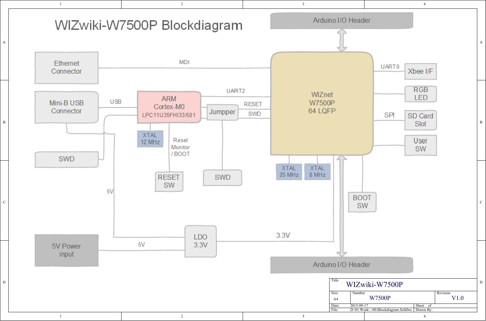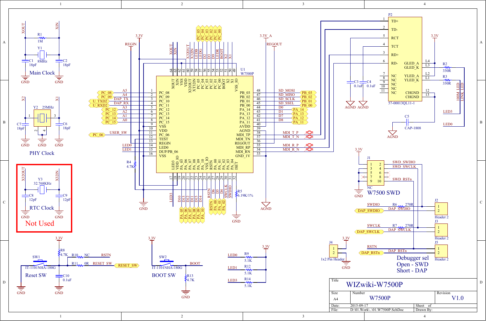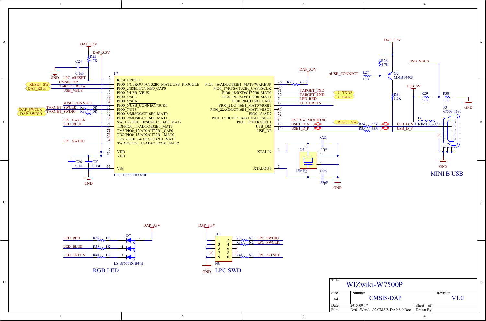